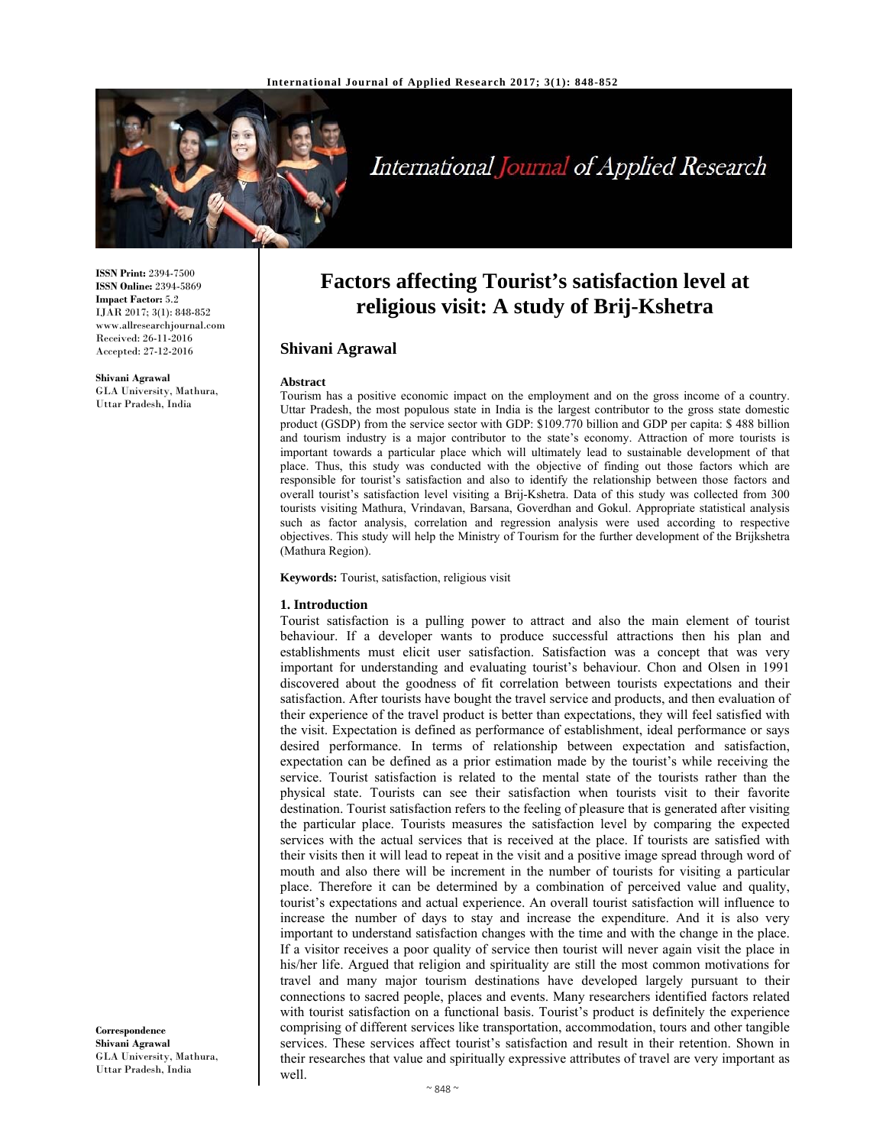

# International Journal of Applied Research

**ISSN Print:** 2394-7500 **ISSN Online:** 2394-5869 **Impact Factor:** 5.2 IJAR 2017; 3(1): 848-852 www.allresearchjournal.com Received: 26-11-2016 Accepted: 27-12-2016

**Shivani Agrawal**  GLA University, Mathura, Uttar Pradesh, India

# **Factors affecting Tourist's satisfaction level at religious visit: A study of Brij-Kshetra**

# **Shivani Agrawal**

#### **Abstract**

Tourism has a positive economic impact on the employment and on the gross income of a country. Uttar Pradesh, the most populous state in India is the largest contributor to the gross state domestic product (GSDP) from the service sector with GDP: \$109.770 billion and GDP per capita: \$ 488 billion and tourism industry is a major contributor to the state's economy. Attraction of more tourists is important towards a particular place which will ultimately lead to sustainable development of that place. Thus, this study was conducted with the objective of finding out those factors which are responsible for tourist's satisfaction and also to identify the relationship between those factors and overall tourist's satisfaction level visiting a Brij-Kshetra. Data of this study was collected from 300 tourists visiting Mathura, Vrindavan, Barsana, Goverdhan and Gokul. Appropriate statistical analysis such as factor analysis, correlation and regression analysis were used according to respective objectives. This study will help the Ministry of Tourism for the further development of the Brijkshetra (Mathura Region).

**Keywords:** Tourist, satisfaction, religious visit

#### **1. Introduction**

Tourist satisfaction is a pulling power to attract and also the main element of tourist behaviour. If a developer wants to produce successful attractions then his plan and establishments must elicit user satisfaction. Satisfaction was a concept that was very important for understanding and evaluating tourist's behaviour. Chon and Olsen in 1991 discovered about the goodness of fit correlation between tourists expectations and their satisfaction. After tourists have bought the travel service and products, and then evaluation of their experience of the travel product is better than expectations, they will feel satisfied with the visit. Expectation is defined as performance of establishment, ideal performance or says desired performance. In terms of relationship between expectation and satisfaction, expectation can be defined as a prior estimation made by the tourist's while receiving the service. Tourist satisfaction is related to the mental state of the tourists rather than the physical state. Tourists can see their satisfaction when tourists visit to their favorite destination. Tourist satisfaction refers to the feeling of pleasure that is generated after visiting the particular place. Tourists measures the satisfaction level by comparing the expected services with the actual services that is received at the place. If tourists are satisfied with their visits then it will lead to repeat in the visit and a positive image spread through word of mouth and also there will be increment in the number of tourists for visiting a particular place. Therefore it can be determined by a combination of perceived value and quality, tourist's expectations and actual experience. An overall tourist satisfaction will influence to increase the number of days to stay and increase the expenditure. And it is also very important to understand satisfaction changes with the time and with the change in the place. If a visitor receives a poor quality of service then tourist will never again visit the place in his/her life. Argued that religion and spirituality are still the most common motivations for travel and many major tourism destinations have developed largely pursuant to their connections to sacred people, places and events. Many researchers identified factors related with tourist satisfaction on a functional basis. Tourist's product is definitely the experience comprising of different services like transportation, accommodation, tours and other tangible services. These services affect tourist's satisfaction and result in their retention. Shown in their researches that value and spiritually expressive attributes of travel are very important as well.

**Correspondence Shivani Agrawal**  GLA University, Mathura, Uttar Pradesh, India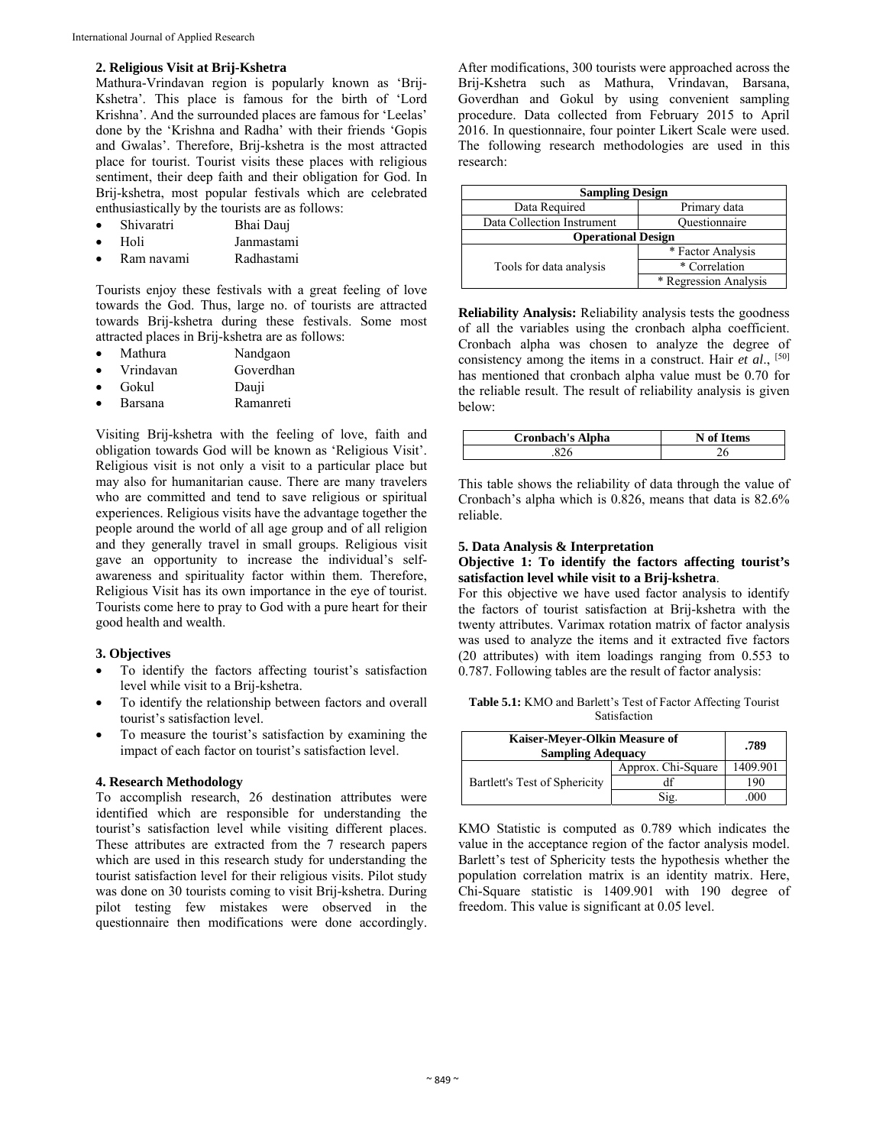#### **2. Religious Visit at Brij-Kshetra**

Mathura-Vrindavan region is popularly known as 'Brij-Kshetra'. This place is famous for the birth of 'Lord Krishna'. And the surrounded places are famous for 'Leelas' done by the 'Krishna and Radha' with their friends 'Gopis and Gwalas'. Therefore, Brij-kshetra is the most attracted place for tourist. Tourist visits these places with religious sentiment, their deep faith and their obligation for God. In Brij-kshetra, most popular festivals which are celebrated enthusiastically by the tourists are as follows:

| Shivaratri | Bhai Daui |
|------------|-----------|
|------------|-----------|

| Holi | Janmastami |
|------|------------|
|      |            |

Ram navami Radhastami

Tourists enjoy these festivals with a great feeling of love towards the God. Thus, large no. of tourists are attracted towards Brij-kshetra during these festivals. Some most attracted places in Brij-kshetra are as follows:

|  | Mathura | Nandgaon |
|--|---------|----------|
|--|---------|----------|

| Goverdhan<br>Vrindavan |  |
|------------------------|--|
|------------------------|--|

- Gokul Dauji
- Barsana Ramanreti

Visiting Brij-kshetra with the feeling of love, faith and obligation towards God will be known as 'Religious Visit'. Religious visit is not only a visit to a particular place but may also for humanitarian cause. There are many travelers who are committed and tend to save religious or spiritual experiences. Religious visits have the advantage together the people around the world of all age group and of all religion and they generally travel in small groups. Religious visit gave an opportunity to increase the individual's selfawareness and spirituality factor within them. Therefore, Religious Visit has its own importance in the eye of tourist. Tourists come here to pray to God with a pure heart for their good health and wealth.

#### **3. Objectives**

- To identify the factors affecting tourist's satisfaction level while visit to a Brij-kshetra.
- To identify the relationship between factors and overall tourist's satisfaction level.
- To measure the tourist's satisfaction by examining the impact of each factor on tourist's satisfaction level.

#### **4. Research Methodology**

To accomplish research, 26 destination attributes were identified which are responsible for understanding the tourist's satisfaction level while visiting different places. These attributes are extracted from the 7 research papers which are used in this research study for understanding the tourist satisfaction level for their religious visits. Pilot study was done on 30 tourists coming to visit Brij-kshetra. During pilot testing few mistakes were observed in the questionnaire then modifications were done accordingly.

After modifications, 300 tourists were approached across the Brij-Kshetra such as Mathura, Vrindavan, Barsana, Goverdhan and Gokul by using convenient sampling procedure. Data collected from February 2015 to April 2016. In questionnaire, four pointer Likert Scale were used. The following research methodologies are used in this research:

| <b>Sampling Design</b>     |                       |  |  |  |
|----------------------------|-----------------------|--|--|--|
| Data Required              | Primary data          |  |  |  |
| Data Collection Instrument | Ouestionnaire         |  |  |  |
| <b>Operational Design</b>  |                       |  |  |  |
|                            | * Factor Analysis     |  |  |  |
| Tools for data analysis    | * Correlation         |  |  |  |
|                            | * Regression Analysis |  |  |  |

**Reliability Analysis:** Reliability analysis tests the goodness of all the variables using the cronbach alpha coefficient. Cronbach alpha was chosen to analyze the degree of consistency among the items in a construct. Hair *et al*., [50] has mentioned that cronbach alpha value must be 0.70 for the reliable result. The result of reliability analysis is given below:

| <b>Cronbach's Alpha</b> | <b>Items</b><br>N of 1 |
|-------------------------|------------------------|
|                         |                        |

This table shows the reliability of data through the value of Cronbach's alpha which is 0.826, means that data is 82.6% reliable.

#### **5. Data Analysis & Interpretation Objective 1: To identify the factors affecting tourist's satisfaction level while visit to a Brij-kshetra**.

For this objective we have used factor analysis to identify the factors of tourist satisfaction at Brij-kshetra with the twenty attributes. Varimax rotation matrix of factor analysis was used to analyze the items and it extracted five factors (20 attributes) with item loadings ranging from 0.553 to 0.787. Following tables are the result of factor analysis:

**Table 5.1:** KMO and Barlett's Test of Factor Affecting Tourist Satisfaction

| Kaiser-Meyer-Olkin Measure of<br><b>Sampling Adequacy</b> | .789               |          |
|-----------------------------------------------------------|--------------------|----------|
| Bartlett's Test of Sphericity                             | Approx. Chi-Square | 1409.901 |
|                                                           |                    | 190      |
|                                                           | Sig.               | .000     |

KMO Statistic is computed as 0.789 which indicates the value in the acceptance region of the factor analysis model. Barlett's test of Sphericity tests the hypothesis whether the population correlation matrix is an identity matrix. Here, Chi-Square statistic is 1409.901 with 190 degree of freedom. This value is significant at 0.05 level.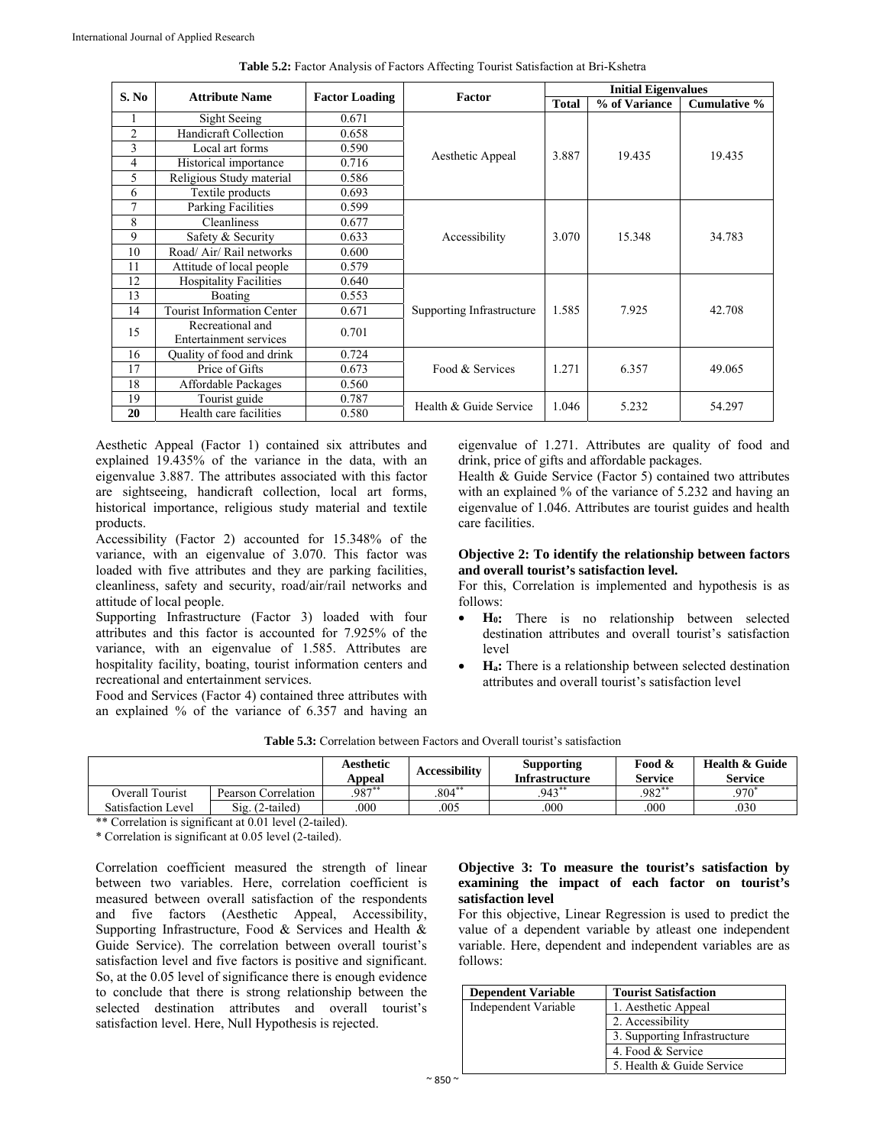| S. No          | <b>Attribute Name</b>             |                       | Factor                    | <b>Initial Eigenvalues</b> |               |                     |  |
|----------------|-----------------------------------|-----------------------|---------------------------|----------------------------|---------------|---------------------|--|
|                |                                   | <b>Factor Loading</b> |                           | <b>Total</b>               | % of Variance | <b>Cumulative %</b> |  |
|                | Sight Seeing                      | 0.671                 |                           |                            |               |                     |  |
| $\overline{2}$ | Handicraft Collection             | 0.658                 |                           |                            |               |                     |  |
| 3              | Local art forms                   | 0.590                 |                           | 3.887                      | 19.435        | 19.435              |  |
| 4              | Historical importance             | 0.716                 | Aesthetic Appeal          |                            |               |                     |  |
| 5              | Religious Study material          | 0.586                 |                           |                            |               |                     |  |
| 6              | Textile products                  | 0.693                 |                           |                            |               |                     |  |
| 7              | Parking Facilities                | 0.599                 |                           |                            |               |                     |  |
| 8              | Cleanliness                       | 0.677                 |                           |                            |               |                     |  |
| 9              | Safety & Security                 | 0.633                 | Accessibility             | 3.070                      | 15.348        | 34.783              |  |
| 10             | Road/Air/Rail networks            | 0.600                 |                           |                            |               |                     |  |
| 11             | Attitude of local people          | 0.579                 |                           |                            |               |                     |  |
| 12             | <b>Hospitality Facilities</b>     | 0.640                 |                           |                            |               |                     |  |
| 13             | Boating                           | 0.553                 |                           | 1.585                      | 7.925         | 42.708              |  |
| 14             | <b>Tourist Information Center</b> | 0.671                 | Supporting Infrastructure |                            |               |                     |  |
| 15             | Recreational and                  | 0.701                 |                           |                            |               |                     |  |
|                | Entertainment services            |                       |                           |                            |               |                     |  |
| 16             | Quality of food and drink         | 0.724                 |                           |                            |               |                     |  |
| 17             | Price of Gifts                    | 0.673                 | Food & Services           | 1.271                      | 6.357         | 49.065              |  |
| 18             | Affordable Packages               | 0.560                 |                           |                            |               |                     |  |
| 19             | Tourist guide                     | 0.787                 | Health & Guide Service    | 1.046                      | 5.232         | 54.297              |  |
| 20             | Health care facilities            | 0.580                 |                           |                            |               |                     |  |

**Table 5.2:** Factor Analysis of Factors Affecting Tourist Satisfaction at Bri-Kshetra

Aesthetic Appeal (Factor 1) contained six attributes and explained 19.435% of the variance in the data, with an eigenvalue 3.887. The attributes associated with this factor are sightseeing, handicraft collection, local art forms, historical importance, religious study material and textile products.

Accessibility (Factor 2) accounted for 15.348% of the variance, with an eigenvalue of 3.070. This factor was loaded with five attributes and they are parking facilities, cleanliness, safety and security, road/air/rail networks and attitude of local people.

Supporting Infrastructure (Factor 3) loaded with four attributes and this factor is accounted for 7.925% of the variance, with an eigenvalue of 1.585. Attributes are hospitality facility, boating, tourist information centers and recreational and entertainment services.

Food and Services (Factor 4) contained three attributes with an explained % of the variance of 6.357 and having an eigenvalue of 1.271. Attributes are quality of food and drink, price of gifts and affordable packages.

Health & Guide Service (Factor 5) contained two attributes with an explained % of the variance of 5.232 and having an eigenvalue of 1.046. Attributes are tourist guides and health care facilities.

#### **Objective 2: To identify the relationship between factors and overall tourist's satisfaction level.**

For this, Correlation is implemented and hypothesis is as follows:

- **H0:** There is no relationship between selected destination attributes and overall tourist's satisfaction level
- **Ha:** There is a relationship between selected destination attributes and overall tourist's satisfaction level

**Table 5.3:** Correlation between Factors and Overall tourist's satisfaction

|                    |                     | Aesthetic<br>Appeal | <b>Accessibility</b> | <b>Supporting</b><br><b>Infrastructure</b> | Food &<br><b>Service</b> | Health & Guide<br><b>Service</b> |
|--------------------|---------------------|---------------------|----------------------|--------------------------------------------|--------------------------|----------------------------------|
| Overall Tourist    | Pearson Correlation | $.987**$            | $.804**$             | $.943***$                                  | $.982**$                 | 970*                             |
| Satisfaction Level | $Sig. (2-tailed)$   | .000                | .005                 | .000                                       | .000                     | .030                             |

\*\* Correlation is significant at 0.01 level (2-tailed).

\* Correlation is significant at 0.05 level (2-tailed).

Correlation coefficient measured the strength of linear between two variables. Here, correlation coefficient is measured between overall satisfaction of the respondents and five factors (Aesthetic Appeal, Accessibility, Supporting Infrastructure, Food & Services and Health & Guide Service). The correlation between overall tourist's satisfaction level and five factors is positive and significant. So, at the 0.05 level of significance there is enough evidence to conclude that there is strong relationship between the selected destination attributes and overall tourist's satisfaction level. Here, Null Hypothesis is rejected.

# **Objective 3: To measure the tourist's satisfaction by examining the impact of each factor on tourist's satisfaction level**

For this objective, Linear Regression is used to predict the value of a dependent variable by atleast one independent variable. Here, dependent and independent variables are as follows:

| <b>Dependent Variable</b> | <b>Tourist Satisfaction</b>  |
|---------------------------|------------------------------|
| Independent Variable      | 1. Aesthetic Appeal          |
|                           | 2. Accessibility             |
|                           | 3. Supporting Infrastructure |
|                           | 4. Food & Service            |
|                           | 5. Health & Guide Service    |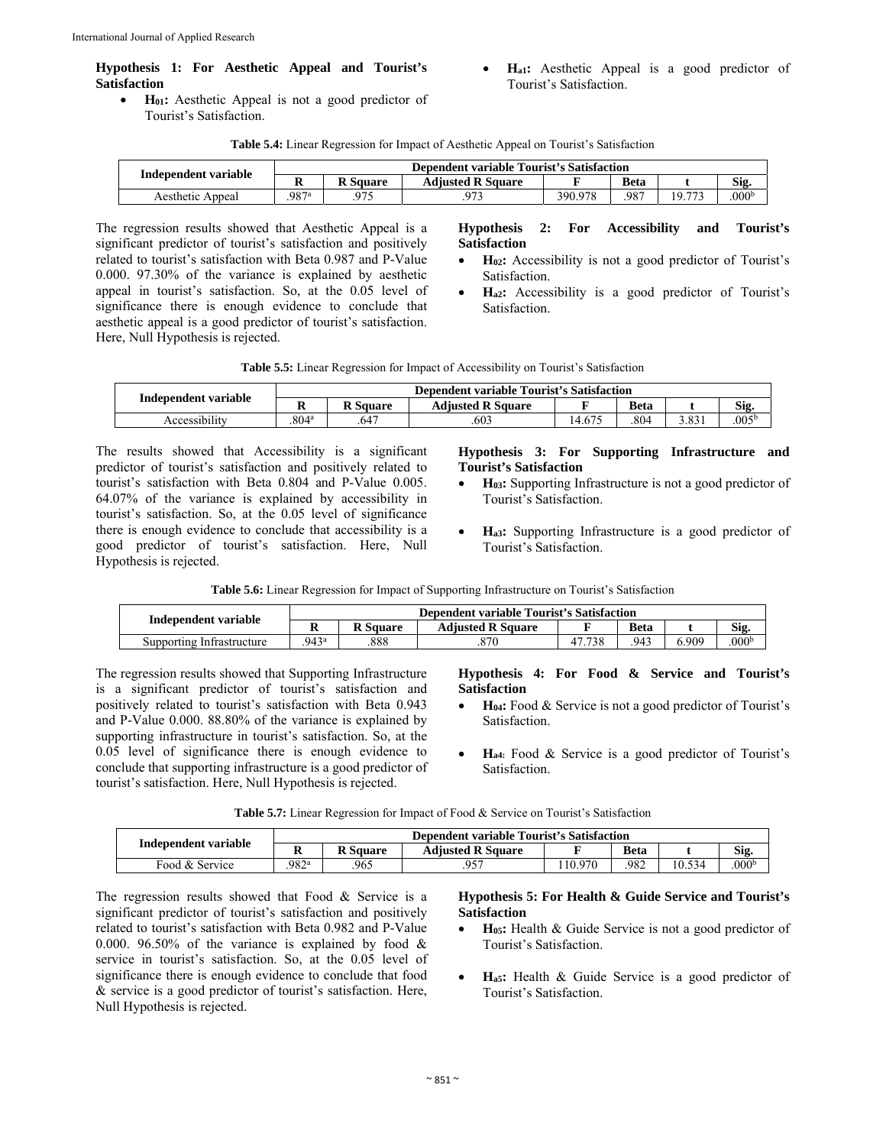# **Hypothesis 1: For Aesthetic Appeal and Tourist's Satisfaction**

- H<sub>01</sub>: Aesthetic Appeal is not a good predictor of Tourist's Satisfaction.
- **Ha1:** Aesthetic Appeal is a good predictor of Tourist's Satisfaction.

| <b>Table 5.4:</b> Linear Regression for Impact of Aesthetic Appeal on Tourist's Satisfaction |  |
|----------------------------------------------------------------------------------------------|--|
|----------------------------------------------------------------------------------------------|--|

| Independent variable | <b>Dependent variable Tourist's Satisfaction</b>         |     |     |         |     |        |                   |
|----------------------|----------------------------------------------------------|-----|-----|---------|-----|--------|-------------------|
|                      | <b>Adiusted R Square</b><br><b>R</b> Square<br>Beta<br>v |     |     |         |     |        | Sig.              |
| Aesthetic Appeal     | .987ª                                                    | በማፍ | רר∩ | 390.978 | 987 | 19 773 | .000 <sup>b</sup> |

The regression results showed that Aesthetic Appeal is a significant predictor of tourist's satisfaction and positively related to tourist's satisfaction with Beta 0.987 and P-Value 0.000. 97.30% of the variance is explained by aesthetic appeal in tourist's satisfaction. So, at the 0.05 level of significance there is enough evidence to conclude that aesthetic appeal is a good predictor of tourist's satisfaction. Here, Null Hypothesis is rejected.

#### **Hypothesis 2: For Accessibility and Tourist's Satisfaction**

- **H02:** Accessibility is not a good predictor of Tourist's Satisfaction.
- **Ha2:** Accessibility is a good predictor of Tourist's Satisfaction.

|  |  |  |  | <b>Table 5.5:</b> Linear Regression for Impact of Accessibility on Tourist's Satisfaction |  |  |
|--|--|--|--|-------------------------------------------------------------------------------------------|--|--|
|--|--|--|--|-------------------------------------------------------------------------------------------|--|--|

|                      | Dependent variable Tourist's Satisfaction |                 |                          |        |             |       |                |  |
|----------------------|-------------------------------------------|-----------------|--------------------------|--------|-------------|-------|----------------|--|
| Independent variable |                                           | <b>R</b> Square | <b>Adiusted R Square</b> |        | <b>Beta</b> |       | Sig.           |  |
| Accessibility        | .804 <sup>a</sup>                         | .647            | .603                     | 4.67″، | .804        | 3.831 | $.005^{\rm b}$ |  |

The results showed that Accessibility is a significant predictor of tourist's satisfaction and positively related to tourist's satisfaction with Beta 0.804 and P-Value 0.005. 64.07% of the variance is explained by accessibility in tourist's satisfaction. So, at the 0.05 level of significance there is enough evidence to conclude that accessibility is a good predictor of tourist's satisfaction. Here, Null Hypothesis is rejected.

#### **Hypothesis 3: For Supporting Infrastructure and Tourist's Satisfaction**

- **H03:** Supporting Infrastructure is not a good predictor of Tourist's Satisfaction.
- **Ha3:** Supporting Infrastructure is a good predictor of Tourist's Satisfaction.

**Table 5.6:** Linear Regression for Impact of Supporting Infrastructure on Tourist's Satisfaction

| Independent variable      | <b>Dependent variable Tourist's Satisfaction</b> |                 |                          |        |             |       |                  |  |
|---------------------------|--------------------------------------------------|-----------------|--------------------------|--------|-------------|-------|------------------|--|
|                           | A                                                | <b>R</b> Square | <b>Adiusted R Square</b> |        | <b>Beta</b> |       | Sig.             |  |
| Supporting Infrastructure | .943 <sup>a</sup>                                | 888             | .870                     | 47.738 | .943        | 0.909 | 000 <sup>b</sup> |  |

The regression results showed that Supporting Infrastructure is a significant predictor of tourist's satisfaction and positively related to tourist's satisfaction with Beta 0.943 and P-Value 0.000. 88.80% of the variance is explained by supporting infrastructure in tourist's satisfaction. So, at the 0.05 level of significance there is enough evidence to conclude that supporting infrastructure is a good predictor of tourist's satisfaction. Here, Null Hypothesis is rejected.

#### **Hypothesis 4: For Food & Service and Tourist's Satisfaction**

- **H04:** Food & Service is not a good predictor of Tourist's Satisfaction.
- **Ha4:** Food & Service is a good predictor of Tourist's Satisfaction.

**Table 5.7:** Linear Regression for Impact of Food & Service on Tourist's Satisfaction

| Independent variable | Dependent variable Tourist's Satisfaction |                 |                          |        |             |        |                   |  |
|----------------------|-------------------------------------------|-----------------|--------------------------|--------|-------------|--------|-------------------|--|
|                      | м                                         | <b>R</b> Square | <b>Adjusted R Square</b> |        | <b>Beta</b> |        | Sig.              |  |
| Food & Service       | 982ª                                      | 965             | 957                      | 10.970 | 982         | 10.534 | .000 <sup>b</sup> |  |

The regression results showed that Food & Service is a significant predictor of tourist's satisfaction and positively related to tourist's satisfaction with Beta 0.982 and P-Value 0.000. 96.50% of the variance is explained by food  $\&$ service in tourist's satisfaction. So, at the 0.05 level of significance there is enough evidence to conclude that food & service is a good predictor of tourist's satisfaction. Here, Null Hypothesis is rejected.

#### **Hypothesis 5: For Health & Guide Service and Tourist's Satisfaction**

- **H05:** Health & Guide Service is not a good predictor of Tourist's Satisfaction.
- **Ha5:** Health & Guide Service is a good predictor of Tourist's Satisfaction.